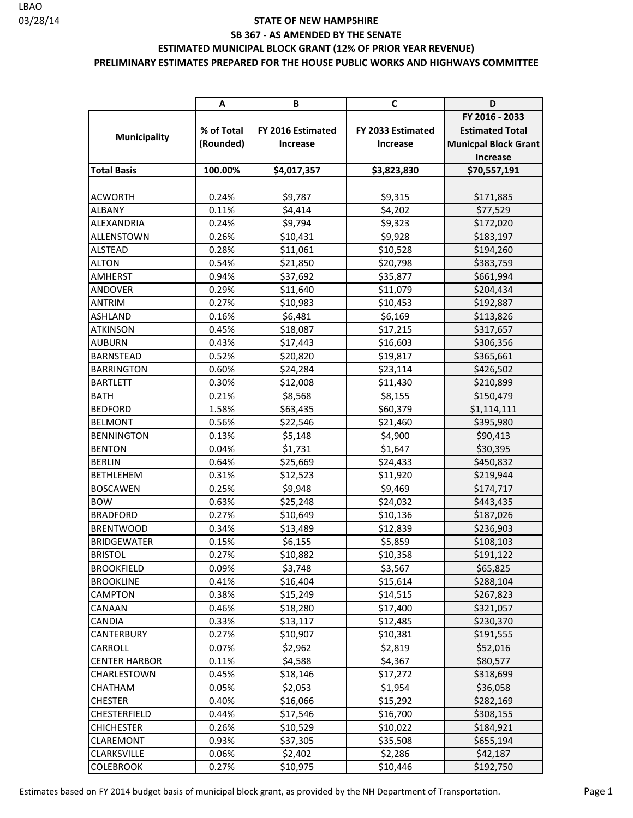#### **PRELIMINARY ESTIMATES PREPARED FOR THE HOUSE PUBLIC WORKS AND HIGHWAYS COMMITTEE**

|                      | Α          | В                 | C                 | D                           |
|----------------------|------------|-------------------|-------------------|-----------------------------|
|                      |            |                   |                   | FY 2016 - 2033              |
|                      | % of Total | FY 2016 Estimated | FY 2033 Estimated | <b>Estimated Total</b>      |
| <b>Municipality</b>  | (Rounded)  | Increase          | Increase          | <b>Municpal Block Grant</b> |
|                      |            |                   |                   | <b>Increase</b>             |
| <b>Total Basis</b>   | 100.00%    | \$4,017,357       | \$3,823,830       | \$70,557,191                |
|                      |            |                   |                   |                             |
| <b>ACWORTH</b>       | 0.24%      | \$9,787           | \$9,315           | \$171,885                   |
| <b>ALBANY</b>        | 0.11%      | \$4,414           | \$4,202           | \$77,529                    |
| <b>ALEXANDRIA</b>    | 0.24%      | \$9,794           | \$9,323           | \$172,020                   |
| <b>ALLENSTOWN</b>    | 0.26%      | \$10,431          | \$9,928           | \$183,197                   |
| <b>ALSTEAD</b>       | 0.28%      | \$11,061          | \$10,528          | \$194,260                   |
| <b>ALTON</b>         | 0.54%      | \$21,850          | \$20,798          | \$383,759                   |
| <b>AMHERST</b>       | 0.94%      | \$37,692          | \$35,877          | \$661,994                   |
| <b>ANDOVER</b>       | 0.29%      | \$11,640          | \$11,079          | \$204,434                   |
| <b>ANTRIM</b>        | 0.27%      | \$10,983          | \$10,453          | \$192,887                   |
| <b>ASHLAND</b>       | 0.16%      | \$6,481           | \$6,169           | \$113,826                   |
| <b>ATKINSON</b>      | 0.45%      | \$18,087          | \$17,215          | \$317,657                   |
| <b>AUBURN</b>        | 0.43%      | \$17,443          | \$16,603          | \$306,356                   |
| <b>BARNSTEAD</b>     | 0.52%      | \$20,820          | \$19,817          | \$365,661                   |
| <b>BARRINGTON</b>    | 0.60%      | \$24,284          | \$23,114          | \$426,502                   |
| <b>BARTLETT</b>      | 0.30%      | \$12,008          | \$11,430          | \$210,899                   |
| <b>BATH</b>          | 0.21%      | \$8,568           | \$8,155           | \$150,479                   |
| <b>BEDFORD</b>       | 1.58%      | \$63,435          | \$60,379          | \$1,114,111                 |
| <b>BELMONT</b>       | 0.56%      | \$22,546          | \$21,460          | \$395,980                   |
| <b>BENNINGTON</b>    | 0.13%      | \$5,148           | \$4,900           | \$90,413                    |
| <b>BENTON</b>        | 0.04%      | \$1,731           | \$1,647           | \$30,395                    |
| <b>BERLIN</b>        | 0.64%      | \$25,669          | \$24,433          | \$450,832                   |
| <b>BETHLEHEM</b>     | 0.31%      | \$12,523          | \$11,920          | \$219,944                   |
| <b>BOSCAWEN</b>      | 0.25%      | \$9,948           | \$9,469           | \$174,717                   |
| <b>BOW</b>           | 0.63%      | \$25,248          | \$24,032          | \$443,435                   |
| <b>BRADFORD</b>      | 0.27%      | \$10,649          | \$10,136          | \$187,026                   |
| <b>BRENTWOOD</b>     | 0.34%      | \$13,489          | \$12,839          | \$236,903                   |
| <b>BRIDGEWATER</b>   | 0.15%      | \$6,155           | \$5,859           | \$108,103                   |
| <b>BRISTOL</b>       | 0.27%      | \$10,882          | \$10,358          | \$191,122                   |
| <b>BROOKFIELD</b>    | 0.09%      | \$3,748           | \$3,567           | \$65,825                    |
| <b>BROOKLINE</b>     | 0.41%      | \$16,404          | \$15,614          | \$288,104                   |
| <b>CAMPTON</b>       | 0.38%      | \$15,249          | \$14,515          | \$267,823                   |
| CANAAN               | 0.46%      | \$18,280          | \$17,400          | \$321,057                   |
| <b>CANDIA</b>        | 0.33%      | \$13,117          | \$12,485          | \$230,370                   |
| <b>CANTERBURY</b>    | 0.27%      | \$10,907          | \$10,381          | \$191,555                   |
| <b>CARROLL</b>       | 0.07%      | \$2,962           | \$2,819           | \$52,016                    |
| <b>CENTER HARBOR</b> | 0.11%      | \$4,588           | \$4,367           | \$80,577                    |
| <b>CHARLESTOWN</b>   | 0.45%      | \$18,146          | \$17,272          | \$318,699                   |
| <b>CHATHAM</b>       | 0.05%      | \$2,053           | \$1,954           | \$36,058                    |
| <b>CHESTER</b>       | 0.40%      | \$16,066          | \$15,292          | \$282,169                   |
| <b>CHESTERFIELD</b>  | 0.44%      | \$17,546          | \$16,700          | \$308,155                   |
| <b>CHICHESTER</b>    | 0.26%      | \$10,529          | \$10,022          | \$184,921                   |
| <b>CLAREMONT</b>     | 0.93%      | \$37,305          | \$35,508          | \$655,194                   |
| <b>CLARKSVILLE</b>   | 0.06%      | \$2,402           | \$2,286           | \$42,187                    |
| <b>COLEBROOK</b>     | 0.27%      | \$10,975          | \$10,446          | \$192,750                   |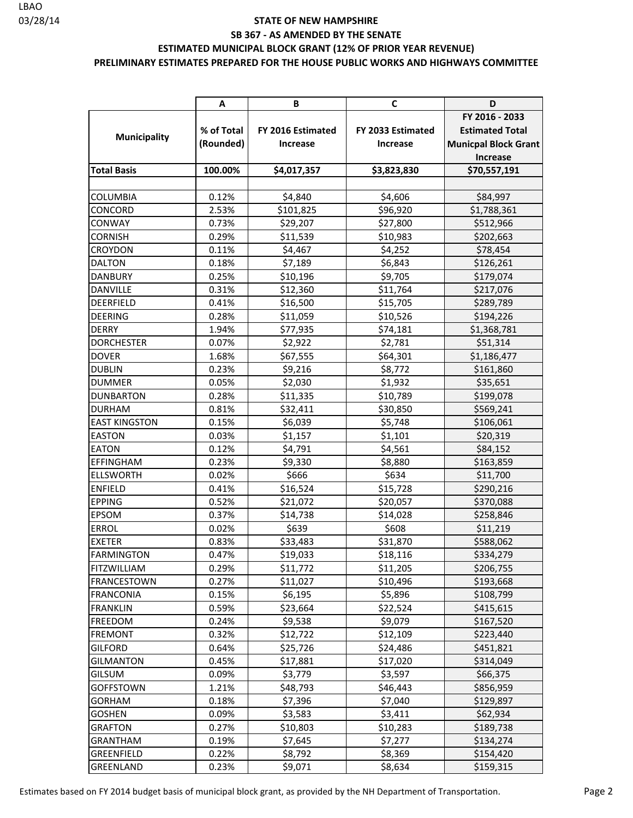#### 03/28/14 **STATE OF NEW HAMPSHIRE SB 367 - AS AMENDED BY THE SENATE ESTIMATED MUNICIPAL BLOCK GRANT (12% OF PRIOR YEAR REVENUE) PRELIMINARY ESTIMATES PREPARED FOR THE HOUSE PUBLIC WORKS AND HIGHWAYS COMMITTEE**

|                      | A          | В                 | C                 | D                           |
|----------------------|------------|-------------------|-------------------|-----------------------------|
|                      |            |                   |                   | FY 2016 - 2033              |
| <b>Municipality</b>  | % of Total | FY 2016 Estimated | FY 2033 Estimated | <b>Estimated Total</b>      |
|                      | (Rounded)  | <b>Increase</b>   | <b>Increase</b>   | <b>Municpal Block Grant</b> |
|                      |            |                   |                   | <b>Increase</b>             |
| <b>Total Basis</b>   | 100.00%    | \$4,017,357       | \$3,823,830       | \$70,557,191                |
|                      |            |                   |                   |                             |
| <b>COLUMBIA</b>      | 0.12%      | \$4,840           | \$4,606           | \$84,997                    |
| CONCORD              | 2.53%      | \$101,825         | \$96,920          | \$1,788,361                 |
| <b>CONWAY</b>        | 0.73%      | \$29,207          | \$27,800          | \$512,966                   |
| <b>CORNISH</b>       | 0.29%      | \$11,539          | \$10,983          | \$202,663                   |
| <b>CROYDON</b>       | 0.11%      | \$4,467           | \$4,252           | \$78,454                    |
| <b>DALTON</b>        | 0.18%      | \$7,189           | \$6,843           | \$126,261                   |
| <b>DANBURY</b>       | 0.25%      | \$10,196          | \$9,705           | \$179,074                   |
| DANVILLE             | 0.31%      | \$12,360          | \$11,764          | \$217,076                   |
| DEERFIELD            | 0.41%      | \$16,500          | \$15,705          | \$289,789                   |
| <b>DEERING</b>       | 0.28%      | \$11,059          | \$10,526          | \$194,226                   |
| <b>DERRY</b>         | 1.94%      | \$77,935          | \$74,181          | \$1,368,781                 |
| <b>DORCHESTER</b>    | 0.07%      | \$2,922           | \$2,781           | \$51,314                    |
| <b>DOVER</b>         | 1.68%      | \$67,555          | \$64,301          | \$1,186,477                 |
| <b>DUBLIN</b>        | 0.23%      | \$9,216           | \$8,772           | \$161,860                   |
| <b>DUMMER</b>        | 0.05%      | \$2,030           | \$1,932           | \$35,651                    |
| <b>DUNBARTON</b>     | 0.28%      | \$11,335          | \$10,789          | \$199,078                   |
| <b>DURHAM</b>        | 0.81%      | \$32,411          | \$30,850          | \$569,241                   |
| <b>EAST KINGSTON</b> | 0.15%      | \$6,039           | \$5,748           | \$106,061                   |
| <b>EASTON</b>        | 0.03%      | \$1,157           | \$1,101           | \$20,319                    |
| <b>EATON</b>         | 0.12%      | \$4,791           | \$4,561           | \$84,152                    |
| EFFINGHAM            | 0.23%      | \$9,330           | \$8,880           | \$163,859                   |
| <b>ELLSWORTH</b>     | 0.02%      | \$666             | \$634             | \$11,700                    |
| <b>ENFIELD</b>       | 0.41%      | \$16,524          | \$15,728          | \$290,216                   |
| <b>EPPING</b>        | 0.52%      | \$21,072          | \$20,057          | \$370,088                   |
| EPSOM                | 0.37%      | \$14,738          | \$14,028          | \$258,846                   |
| <b>ERROL</b>         | 0.02%      | \$639             | \$608             | \$11,219                    |
| <b>EXETER</b>        | 0.83%      | \$33,483          | \$31,870          | \$588,062                   |
| <b>FARMINGTON</b>    | 0.47%      | \$19,033          | \$18,116          | \$334,279                   |
| <b>FITZWILLIAM</b>   | 0.29%      | \$11,772          | \$11,205          | \$206,755                   |
| <b>FRANCESTOWN</b>   | 0.27%      | \$11,027          | \$10,496          | \$193,668                   |
| <b>FRANCONIA</b>     | 0.15%      | \$6,195           | \$5,896           | \$108,799                   |
| <b>FRANKLIN</b>      | 0.59%      | \$23,664          | \$22,524          | \$415,615                   |
| <b>FREEDOM</b>       | 0.24%      | \$9,538           | \$9,079           | \$167,520                   |
| <b>FREMONT</b>       | 0.32%      | \$12,722          | \$12,109          | \$223,440                   |
| <b>GILFORD</b>       | 0.64%      | \$25,726          | \$24,486          | \$451,821                   |
| <b>GILMANTON</b>     | 0.45%      | \$17,881          | \$17,020          | \$314,049                   |
| <b>GILSUM</b>        | 0.09%      | \$3,779           | \$3,597           | \$66,375                    |
| <b>GOFFSTOWN</b>     | 1.21%      | \$48,793          | \$46,443          | \$856,959                   |
| <b>GORHAM</b>        | 0.18%      | \$7,396           | \$7,040           | \$129,897                   |
| <b>GOSHEN</b>        | 0.09%      | \$3,583           | \$3,411           | \$62,934                    |
| <b>GRAFTON</b>       | 0.27%      | \$10,803          | \$10,283          | \$189,738                   |
| <b>GRANTHAM</b>      | 0.19%      | \$7,645           | \$7,277           | \$134,274                   |
| GREENFIELD           | 0.22%      | \$8,792           | \$8,369           | \$154,420                   |
| <b>GREENLAND</b>     | 0.23%      | \$9,071           | \$8,634           | \$159,315                   |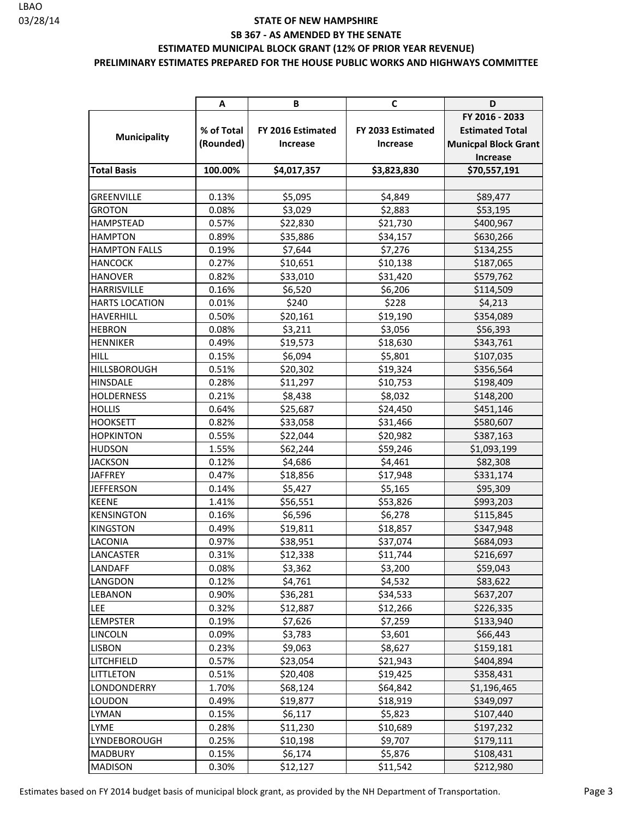#### **PRELIMINARY ESTIMATES PREPARED FOR THE HOUSE PUBLIC WORKS AND HIGHWAYS COMMITTEE**

|                       | Α          | В                 | C                 | D                           |
|-----------------------|------------|-------------------|-------------------|-----------------------------|
|                       |            |                   |                   | FY 2016 - 2033              |
|                       | % of Total | FY 2016 Estimated | FY 2033 Estimated | <b>Estimated Total</b>      |
| <b>Municipality</b>   | (Rounded)  | Increase          | Increase          | <b>Municpal Block Grant</b> |
|                       |            |                   |                   | Increase                    |
| <b>Total Basis</b>    | 100.00%    | \$4,017,357       | \$3,823,830       | \$70,557,191                |
|                       |            |                   |                   |                             |
| <b>GREENVILLE</b>     | 0.13%      | \$5,095           | \$4,849           | \$89,477                    |
| <b>GROTON</b>         | 0.08%      | \$3,029           | \$2,883           | \$53,195                    |
| <b>HAMPSTEAD</b>      | 0.57%      | \$22,830          | \$21,730          | \$400,967                   |
| <b>HAMPTON</b>        | 0.89%      | \$35,886          | \$34,157          | \$630,266                   |
| <b>HAMPTON FALLS</b>  | 0.19%      | \$7,644           | \$7,276           | \$134,255                   |
| <b>HANCOCK</b>        | 0.27%      | \$10,651          | \$10,138          | \$187,065                   |
| <b>HANOVER</b>        | 0.82%      | \$33,010          | \$31,420          | \$579,762                   |
| <b>HARRISVILLE</b>    | 0.16%      | \$6,520           | \$6,206           | \$114,509                   |
| <b>HARTS LOCATION</b> | 0.01%      | \$240             | \$228             | \$4,213                     |
| <b>HAVERHILL</b>      | 0.50%      | \$20,161          | \$19,190          | \$354,089                   |
| <b>HEBRON</b>         | 0.08%      | \$3,211           | \$3,056           | \$56,393                    |
| <b>HENNIKER</b>       | 0.49%      | \$19,573          | \$18,630          | \$343,761                   |
| <b>HILL</b>           | 0.15%      | \$6,094           | \$5,801           | \$107,035                   |
| <b>HILLSBOROUGH</b>   | 0.51%      | \$20,302          | \$19,324          | \$356,564                   |
| <b>HINSDALE</b>       | 0.28%      | \$11,297          | \$10,753          | \$198,409                   |
| <b>HOLDERNESS</b>     | 0.21%      | \$8,438           | \$8,032           | \$148,200                   |
| <b>HOLLIS</b>         | 0.64%      | \$25,687          | \$24,450          | \$451,146                   |
| <b>HOOKSETT</b>       | 0.82%      | \$33,058          | \$31,466          | \$580,607                   |
| <b>HOPKINTON</b>      | 0.55%      | \$22,044          | \$20,982          | \$387,163                   |
| <b>HUDSON</b>         | 1.55%      | \$62,244          | \$59,246          | \$1,093,199                 |
| <b>JACKSON</b>        | 0.12%      | \$4,686           | \$4,461           | \$82,308                    |
| <b>JAFFREY</b>        | 0.47%      | \$18,856          | \$17,948          | \$331,174                   |
| <b>JEFFERSON</b>      | 0.14%      | \$5,427           | \$5,165           | \$95,309                    |
| <b>KEENE</b>          | 1.41%      | \$56,551          | \$53,826          | \$993,203                   |
| <b>KENSINGTON</b>     | 0.16%      | \$6,596           | \$6,278           | \$115,845                   |
| <b>KINGSTON</b>       | 0.49%      | \$19,811          | \$18,857          | \$347,948                   |
| LACONIA               | 0.97%      | \$38,951          | \$37,074          | \$684,093                   |
| LANCASTER             | 0.31%      | \$12,338          | \$11,744          | \$216,697                   |
| LANDAFF               | 0.08%      | \$3,362           | \$3,200           | \$59,043                    |
| LANGDON               | 0.12%      | \$4,761           | \$4,532           | \$83,622                    |
| <b>LEBANON</b>        | 0.90%      | \$36,281          | \$34,533          | \$637,207                   |
| <b>LEE</b>            | 0.32%      | \$12,887          | \$12,266          | \$226,335                   |
| <b>LEMPSTER</b>       | 0.19%      | \$7,626           | \$7,259           | \$133,940                   |
| <b>LINCOLN</b>        | 0.09%      | \$3,783           | \$3,601           | \$66,443                    |
| <b>LISBON</b>         | 0.23%      | \$9,063           | \$8,627           | \$159,181                   |
| LITCHFIELD            | 0.57%      | \$23,054          | \$21,943          | \$404,894                   |
| <b>LITTLETON</b>      | 0.51%      | \$20,408          | \$19,425          | \$358,431                   |
| LONDONDERRY           | 1.70%      | \$68,124          | \$64,842          | \$1,196,465                 |
| LOUDON                | 0.49%      | \$19,877          | \$18,919          | \$349,097                   |
| <b>LYMAN</b>          | 0.15%      | \$6,117           | \$5,823           | \$107,440                   |
| LYME                  | 0.28%      | \$11,230          | \$10,689          | \$197,232                   |
| LYNDEBOROUGH          | 0.25%      | \$10,198          | \$9,707           | \$179,111                   |
| <b>MADBURY</b>        | 0.15%      | \$6,174           | \$5,876           | \$108,431                   |
| <b>MADISON</b>        | 0.30%      | \$12,127          | \$11,542          | \$212,980                   |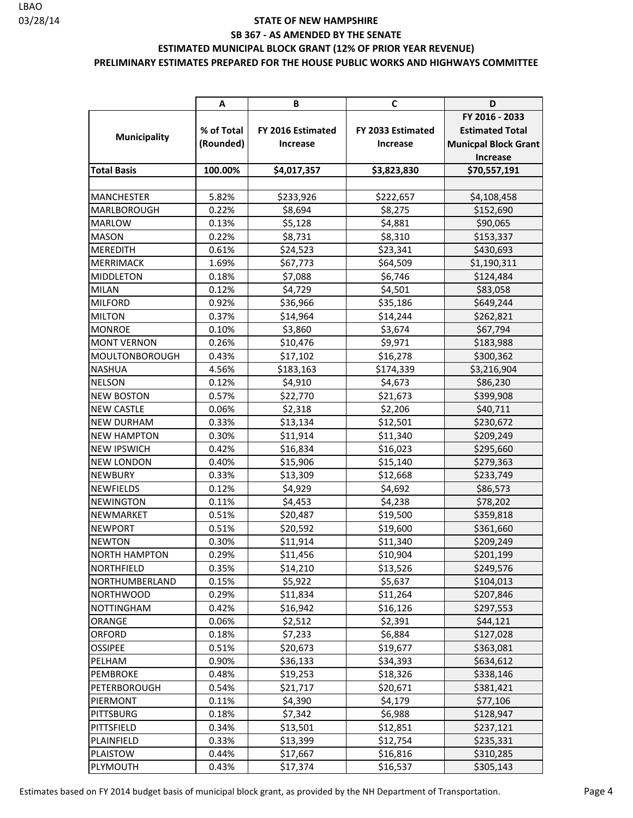#### **PRELIMINARY ESTIMATES PREPARED FOR THE HOUSE PUBLIC WORKS AND HIGHWAYS COMMITTEE**

|                      | Α          | В                 | C                 | D                           |
|----------------------|------------|-------------------|-------------------|-----------------------------|
|                      |            |                   |                   | FY 2016 - 2033              |
|                      | % of Total | FY 2016 Estimated | FY 2033 Estimated | <b>Estimated Total</b>      |
| <b>Municipality</b>  | (Rounded)  | <b>Increase</b>   | Increase          | <b>Municpal Block Grant</b> |
|                      |            |                   |                   | Increase                    |
| <b>Total Basis</b>   | 100.00%    | \$4,017,357       | \$3,823,830       | \$70,557,191                |
|                      |            |                   |                   |                             |
| <b>MANCHESTER</b>    | 5.82%      | \$233,926         | \$222,657         | \$4,108,458                 |
| <b>MARLBOROUGH</b>   | 0.22%      | \$8,694           | \$8,275           | \$152,690                   |
| <b>MARLOW</b>        | 0.13%      | \$5,128           | \$4,881           | \$90,065                    |
| <b>MASON</b>         | 0.22%      | \$8,731           | \$8,310           | \$153,337                   |
| <b>MEREDITH</b>      | 0.61%      | \$24,523          | \$23,341          | \$430,693                   |
| <b>MERRIMACK</b>     | 1.69%      | \$67,773          | \$64,509          | \$1,190,311                 |
| <b>MIDDLETON</b>     | 0.18%      | \$7,088           | \$6,746           | \$124,484                   |
| <b>MILAN</b>         | 0.12%      | \$4,729           | \$4,501           | \$83,058                    |
| <b>MILFORD</b>       | 0.92%      | \$36,966          | \$35,186          | \$649,244                   |
| <b>MILTON</b>        | 0.37%      | \$14,964          | \$14,244          | \$262,821                   |
| <b>MONROE</b>        | 0.10%      | \$3,860           | \$3,674           | \$67,794                    |
| <b>MONT VERNON</b>   | 0.26%      | \$10,476          | \$9,971           | \$183,988                   |
| MOULTONBOROUGH       | 0.43%      | \$17,102          | \$16,278          | \$300,362                   |
| <b>NASHUA</b>        | 4.56%      | \$183,163         | \$174,339         | \$3,216,904                 |
| <b>NELSON</b>        | 0.12%      | \$4,910           | \$4,673           | \$86,230                    |
| <b>NEW BOSTON</b>    | 0.57%      | \$22,770          | \$21,673          | \$399,908                   |
| <b>NEW CASTLE</b>    | 0.06%      | \$2,318           | \$2,206           | \$40,711                    |
| <b>NEW DURHAM</b>    | 0.33%      | \$13,134          | \$12,501          | \$230,672                   |
| <b>NEW HAMPTON</b>   | 0.30%      | \$11,914          | \$11,340          | \$209,249                   |
| <b>NEW IPSWICH</b>   | 0.42%      | \$16,834          | \$16,023          | \$295,660                   |
| <b>NEW LONDON</b>    | 0.40%      | \$15,906          | \$15,140          | \$279,363                   |
| <b>NEWBURY</b>       | 0.33%      | \$13,309          | \$12,668          | \$233,749                   |
| <b>NEWFIELDS</b>     | 0.12%      | \$4,929           | \$4,692           | \$86,573                    |
| <b>NEWINGTON</b>     | 0.11%      | \$4,453           | \$4,238           | \$78,202                    |
| NEWMARKET            | 0.51%      | \$20,487          | \$19,500          | \$359,818                   |
| <b>NEWPORT</b>       | 0.51%      | \$20,592          | \$19,600          | \$361,660                   |
| <b>NEWTON</b>        | 0.30%      | \$11,914          | \$11,340          | \$209,249                   |
| <b>NORTH HAMPTON</b> | 0.29%      | \$11,456          | \$10,904          | \$201,199                   |
| <b>NORTHFIELD</b>    | 0.35%      | \$14,210          | \$13,526          | \$249,576                   |
| NORTHUMBERLAND       | 0.15%      | \$5,922           | \$5,637           | \$104,013                   |
| <b>NORTHWOOD</b>     | 0.29%      | \$11,834          | \$11,264          | \$207,846                   |
| <b>NOTTINGHAM</b>    | 0.42%      | \$16,942          | \$16,126          | \$297,553                   |
| ORANGE               | 0.06%      | \$2,512           | \$2,391           | \$44,121                    |
| <b>ORFORD</b>        | 0.18%      | \$7,233           | \$6,884           | \$127,028                   |
| <b>OSSIPEE</b>       | 0.51%      | \$20,673          | \$19,677          | \$363,081                   |
| PELHAM               | 0.90%      | \$36,133          | \$34,393          | \$634,612                   |
| PEMBROKE             | 0.48%      | \$19,253          | \$18,326          | \$338,146                   |
| PETERBOROUGH         | 0.54%      | \$21,717          | \$20,671          | \$381,421                   |
| PIERMONT             | 0.11%      | \$4,390           | \$4,179           | \$77,106                    |
| PITTSBURG            | 0.18%      | \$7,342           | \$6,988           | \$128,947                   |
| PITTSFIELD           | 0.34%      | \$13,501          | \$12,851          | \$237,121                   |
| PLAINFIELD           | 0.33%      | \$13,399          | \$12,754          | \$235,331                   |
| PLAISTOW             | 0.44%      | \$17,667          | \$16,816          | \$310,285                   |
| PLYMOUTH             | 0.43%      | \$17,374          | \$16,537          | \$305,143                   |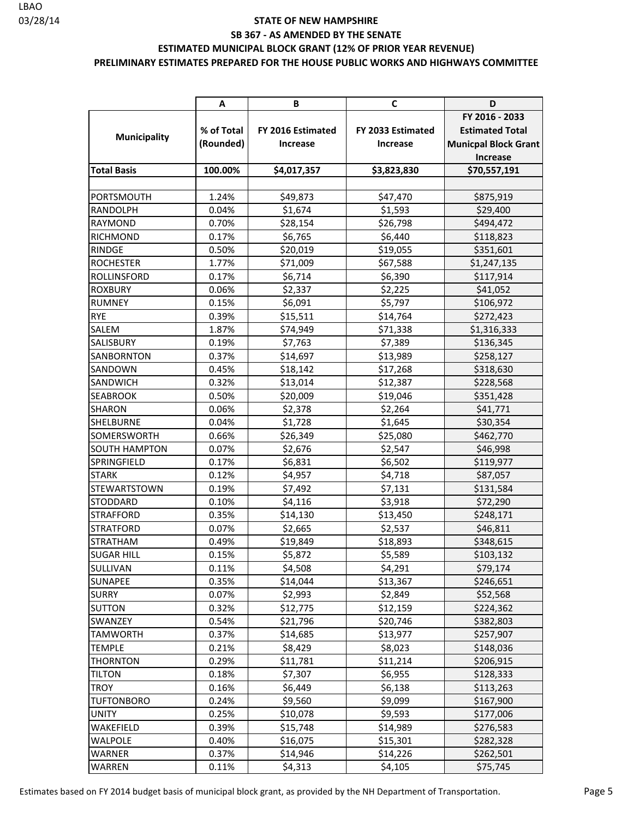#### **PRELIMINARY ESTIMATES PREPARED FOR THE HOUSE PUBLIC WORKS AND HIGHWAYS COMMITTEE**

|                      | Α          | В                 | C                 | D                           |
|----------------------|------------|-------------------|-------------------|-----------------------------|
|                      |            |                   |                   | FY 2016 - 2033              |
|                      | % of Total | FY 2016 Estimated | FY 2033 Estimated | <b>Estimated Total</b>      |
| <b>Municipality</b>  | (Rounded)  | Increase          | Increase          | <b>Municpal Block Grant</b> |
|                      |            |                   |                   | <b>Increase</b>             |
| <b>Total Basis</b>   | 100.00%    | \$4,017,357       | \$3,823,830       | \$70,557,191                |
|                      |            |                   |                   |                             |
| PORTSMOUTH           | 1.24%      | \$49,873          | \$47,470          | \$875,919                   |
| RANDOLPH             | 0.04%      | \$1,674           | \$1,593           | \$29,400                    |
| RAYMOND              | 0.70%      | \$28,154          | \$26,798          | \$494,472                   |
| <b>RICHMOND</b>      | 0.17%      | \$6,765           | \$6,440           | \$118,823                   |
| <b>RINDGE</b>        | 0.50%      | \$20,019          | \$19,055          | \$351,601                   |
| <b>ROCHESTER</b>     | 1.77%      | \$71,009          | \$67,588          | \$1,247,135                 |
| <b>ROLLINSFORD</b>   | 0.17%      | \$6,714           | \$6,390           | \$117,914                   |
| <b>ROXBURY</b>       | 0.06%      | \$2,337           | \$2,225           | \$41,052                    |
| <b>RUMNEY</b>        | 0.15%      | \$6,091           | \$5,797           | \$106,972                   |
| <b>RYE</b>           | 0.39%      | \$15,511          | \$14,764          | \$272,423                   |
| SALEM                | 1.87%      | \$74,949          | \$71,338          | \$1,316,333                 |
| SALISBURY            | 0.19%      | \$7,763           | \$7,389           | \$136,345                   |
| <b>SANBORNTON</b>    | 0.37%      | \$14,697          | \$13,989          | \$258,127                   |
| SANDOWN              | 0.45%      | \$18,142          | \$17,268          | \$318,630                   |
| SANDWICH             | 0.32%      | \$13,014          | \$12,387          | \$228,568                   |
| <b>SEABROOK</b>      | 0.50%      | \$20,009          | \$19,046          | \$351,428                   |
| SHARON               | 0.06%      | \$2,378           | \$2,264           | \$41,771                    |
| <b>SHELBURNE</b>     | 0.04%      | \$1,728           | \$1,645           | \$30,354                    |
| SOMERSWORTH          | 0.66%      | \$26,349          | \$25,080          | \$462,770                   |
| <b>SOUTH HAMPTON</b> | 0.07%      | \$2,676           | \$2,547           | \$46,998                    |
| SPRINGFIELD          | 0.17%      | \$6,831           | \$6,502           | \$119,977                   |
| <b>STARK</b>         | 0.12%      | \$4,957           | \$4,718           | \$87,057                    |
| <b>STEWARTSTOWN</b>  | 0.19%      | \$7,492           | \$7,131           | \$131,584                   |
| STODDARD             | 0.10%      | \$4,116           | \$3,918           | \$72,290                    |
| <b>STRAFFORD</b>     | 0.35%      | \$14,130          | \$13,450          | \$248,171                   |
| <b>STRATFORD</b>     | 0.07%      | \$2,665           | \$2,537           | \$46,811                    |
| <b>STRATHAM</b>      | 0.49%      | \$19,849          | \$18,893          | \$348,615                   |
| <b>SUGAR HILL</b>    | 0.15%      | \$5,872           | \$5,589           | \$103,132                   |
| SULLIVAN             | 0.11%      | \$4,508           | \$4,291           | \$79,174                    |
| SUNAPEE              | 0.35%      | \$14,044          | \$13,367          | \$246,651                   |
| <b>SURRY</b>         | 0.07%      | \$2,993           | \$2,849           | \$52,568                    |
| <b>SUTTON</b>        | 0.32%      | \$12,775          | \$12,159          | \$224,362                   |
| <b>SWANZEY</b>       | 0.54%      | \$21,796          | \$20,746          | \$382,803                   |
| <b>TAMWORTH</b>      | 0.37%      | \$14,685          | \$13,977          | \$257,907                   |
| <b>TEMPLE</b>        | 0.21%      | \$8,429           | \$8,023           | \$148,036                   |
| <b>THORNTON</b>      | 0.29%      | \$11,781          | \$11,214          | \$206,915                   |
| <b>TILTON</b>        | 0.18%      | \$7,307           | \$6,955           | \$128,333                   |
| <b>TROY</b>          | 0.16%      | \$6,449           | \$6,138           | \$113,263                   |
| <b>TUFTONBORO</b>    | 0.24%      | \$9,560           | \$9,099           | \$167,900                   |
| <b>UNITY</b>         | 0.25%      | \$10,078          | \$9,593           | \$177,006                   |
| WAKEFIELD            | 0.39%      | \$15,748          | \$14,989          | \$276,583                   |
| WALPOLE              | 0.40%      | \$16,075          | \$15,301          | \$282,328                   |
| WARNER               | 0.37%      | \$14,946          | \$14,226          | \$262,501                   |
| WARREN               | 0.11%      | \$4,313           | \$4,105           | \$75,745                    |